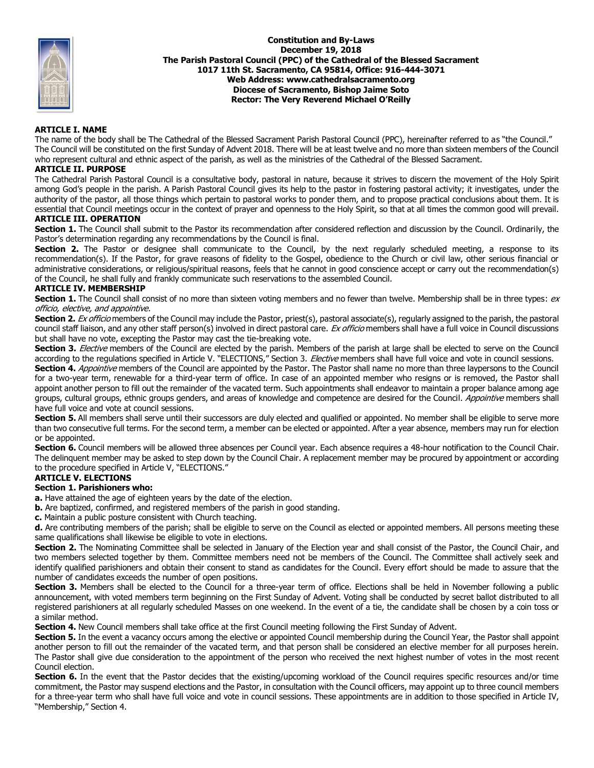

#### **Constitution and By-Laws December 19, 2018 The Parish Pastoral Council (PPC) of the Cathedral of the Blessed Sacrament 1017 11th St. Sacramento, CA 95814, Office: 916-444-3071 Web Address: www.cathedralsacramento.org Diocese of Sacramento, Bishop Jaime Soto Rector: The Very Reverend Michael O'Reilly**

# **ARTICLE I. NAME**

The name of the body shall be The Cathedral of the Blessed Sacrament Parish Pastoral Council (PPC), hereinafter referred to as "the Council." The Council will be constituted on the first Sunday of Advent 2018. There will be at least twelve and no more than sixteen members of the Council who represent cultural and ethnic aspect of the parish, as well as the ministries of the Cathedral of the Blessed Sacrament.

# **ARTICLE II. PURPOSE**

The Cathedral Parish Pastoral Council is a consultative body, pastoral in nature, because it strives to discern the movement of the Holy Spirit among God's people in the parish. A Parish Pastoral Council gives its help to the pastor in fostering pastoral activity; it investigates, under the authority of the pastor, all those things which pertain to pastoral works to ponder them, and to propose practical conclusions about them. It is essential that Council meetings occur in the context of prayer and openness to the Holy Spirit, so that at all times the common good will prevail.

### **ARTICLE III. OPERATION**

Section 1. The Council shall submit to the Pastor its recommendation after considered reflection and discussion by the Council. Ordinarily, the Pastor's determination regarding any recommendations by the Council is final.

**Section 2.** The Pastor or designee shall communicate to the Council, by the next regularly scheduled meeting, a response to its recommendation(s). If the Pastor, for grave reasons of fidelity to the Gospel, obedience to the Church or civil law, other serious financial or administrative considerations, or religious/spiritual reasons, feels that he cannot in good conscience accept or carry out the recommendation(s) of the Council, he shall fully and frankly communicate such reservations to the assembled Council.

#### **ARTICLE IV. MEMBERSHIP**

**Section 1.** The Council shall consist of no more than sixteen voting members and no fewer than twelve. Membership shall be in three types: ex officio, elective, and appointive.

Section 2. Ex officio members of the Council may include the Pastor, priest(s), pastoral associate(s), regularly assigned to the parish, the pastoral council staff liaison, and any other staff person(s) involved in direct pastoral care. Ex officio members shall have a full voice in Council discussions but shall have no vote, excepting the Pastor may cast the tie-breaking vote.

**Section 3.** Elective members of the Council are elected by the parish. Members of the parish at large shall be elected to serve on the Council according to the regulations specified in Article V. "ELECTIONS," Section 3. Elective members shall have full voice and vote in council sessions.

Section 4. *Appointive* members of the Council are appointed by the Pastor. The Pastor shall name no more than three laypersons to the Council for a two-year term, renewable for a third-year term of office. In case of an appointed member who resigns or is removed, the Pastor shall appoint another person to fill out the remainder of the vacated term. Such appointments shall endeavor to maintain a proper balance among age groups, cultural groups, ethnic groups genders, and areas of knowledge and competence are desired for the Council. Appointive members shall have full voice and vote at council sessions.

Section 5. All members shall serve until their successors are duly elected and qualified or appointed. No member shall be eligible to serve more than two consecutive full terms. For the second term, a member can be elected or appointed. After a year absence, members may run for election or be appointed.

**Section 6.** Council members will be allowed three absences per Council year. Each absence requires a 48-hour notification to the Council Chair. The delinquent member may be asked to step down by the Council Chair. A replacement member may be procured by appointment or according to the procedure specified in Article V, "ELECTIONS."

#### **ARTICLE V. ELECTIONS**

#### **Section 1. Parishioners who:**

**a.** Have attained the age of eighteen years by the date of the election.

**b.** Are baptized, confirmed, and registered members of the parish in good standing.

**c.** Maintain a public posture consistent with Church teaching.

**d.** Are contributing members of the parish; shall be eligible to serve on the Council as elected or appointed members. All persons meeting these same qualifications shall likewise be eligible to vote in elections.

**Section 2.** The Nominating Committee shall be selected in January of the Election year and shall consist of the Pastor, the Council Chair, and two members selected together by them. Committee members need not be members of the Council. The Committee shall actively seek and identify qualified parishioners and obtain their consent to stand as candidates for the Council. Every effort should be made to assure that the number of candidates exceeds the number of open positions.

Section 3. Members shall be elected to the Council for a three-year term of office. Elections shall be held in November following a public announcement, with voted members term beginning on the First Sunday of Advent. Voting shall be conducted by secret ballot distributed to all registered parishioners at all regularly scheduled Masses on one weekend. In the event of a tie, the candidate shall be chosen by a coin toss or a similar method.

**Section 4.** New Council members shall take office at the first Council meeting following the First Sunday of Advent.

**Section 5.** In the event a vacancy occurs among the elective or appointed Council membership during the Council Year, the Pastor shall appoint another person to fill out the remainder of the vacated term, and that person shall be considered an elective member for all purposes herein. The Pastor shall give due consideration to the appointment of the person who received the next highest number of votes in the most recent Council election.

Section 6. In the event that the Pastor decides that the existing/upcoming workload of the Council requires specific resources and/or time commitment, the Pastor may suspend elections and the Pastor, in consultation with the Council officers, may appoint up to three council members for a three-year term who shall have full voice and vote in council sessions. These appointments are in addition to those specified in Article IV, "Membership," Section 4.